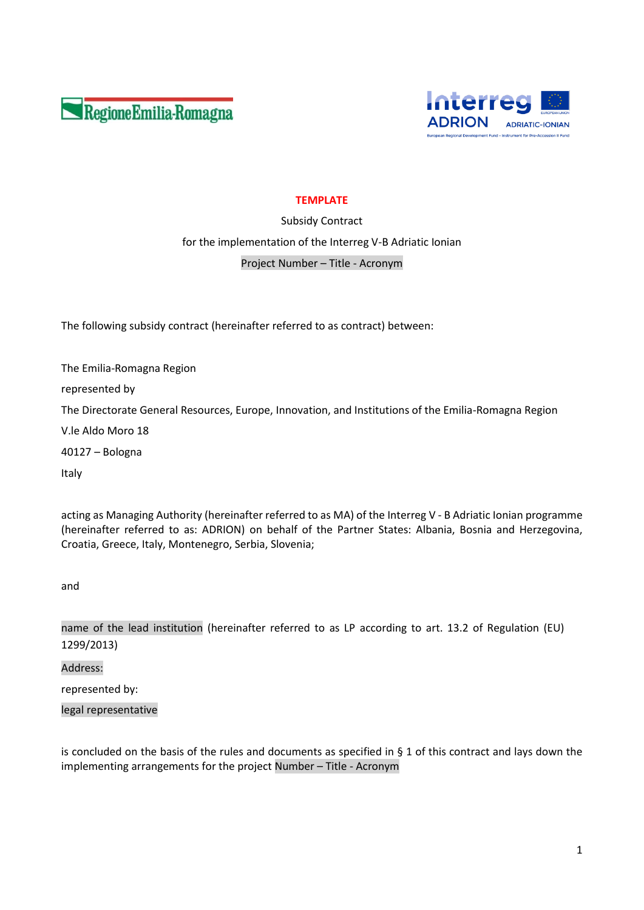



# **TEMPLATE**

Subsidy Contract for the implementation of the Interreg V-B Adriatic Ionian Project Number – Title - Acronym

The following subsidy contract (hereinafter referred to as contract) between:

The Emilia-Romagna Region represented by The Directorate General Resources, Europe, Innovation, and Institutions of the Emilia-Romagna Region V.le Aldo Moro 18 40127 – Bologna Italy

acting as Managing Authority (hereinafter referred to as MA) of the Interreg V - B Adriatic Ionian programme (hereinafter referred to as: ADRION) on behalf of the Partner States: Albania, Bosnia and Herzegovina, Croatia, Greece, Italy, Montenegro, Serbia, Slovenia;

and

name of the lead institution (hereinafter referred to as LP according to art. 13.2 of Regulation (EU) 1299/2013)

Address:

represented by:

legal representative

is concluded on the basis of the rules and documents as specified in § 1 of this contract and lays down the implementing arrangements for the project Number – Title - Acronym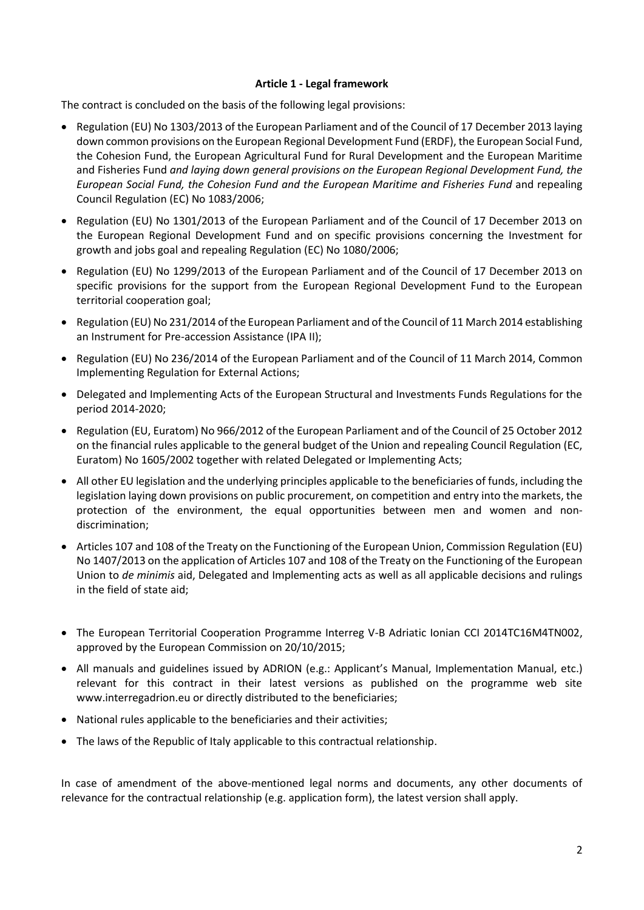## **Article 1 - Legal framework**

The contract is concluded on the basis of the following legal provisions:

- Regulation (EU) No 1303/2013 of the European Parliament and of the Council of 17 December 2013 laying down common provisions on the European Regional Development Fund (ERDF), the European Social Fund, the Cohesion Fund, the European Agricultural Fund for Rural Development and the European Maritime and Fisheries Fund *and laying down general provisions on the European Regional Development Fund, the European Social Fund, the Cohesion Fund and the European Maritime and Fisheries Fund* and repealing Council Regulation (EC) No 1083/2006;
- Regulation (EU) No 1301/2013 of the European Parliament and of the Council of 17 December 2013 on the European Regional Development Fund and on specific provisions concerning the Investment for growth and jobs goal and repealing Regulation (EC) No 1080/2006;
- Regulation (EU) No 1299/2013 of the European Parliament and of the Council of 17 December 2013 on specific provisions for the support from the European Regional Development Fund to the European territorial cooperation goal;
- Regulation (EU) No 231/2014 of the European Parliament and of the Council of 11 March 2014 establishing an Instrument for Pre-accession Assistance (IPA II);
- Regulation (EU) No 236/2014 of the European Parliament and of the Council of 11 March 2014, Common Implementing Regulation for External Actions;
- Delegated and Implementing Acts of the European Structural and Investments Funds Regulations for the period 2014-2020;
- Regulation (EU, Euratom) No 966/2012 of the European Parliament and of the Council of 25 October 2012 on the financial rules applicable to the general budget of the Union and repealing Council Regulation (EC, Euratom) No 1605/2002 together with related Delegated or Implementing Acts;
- All other EU legislation and the underlying principles applicable to the beneficiaries of funds, including the legislation laying down provisions on public procurement, on competition and entry into the markets, the protection of the environment, the equal opportunities between men and women and nondiscrimination;
- Articles 107 and 108 of the Treaty on the Functioning of the European Union, Commission Regulation (EU) No 1407/2013 on the application of Articles 107 and 108 of the Treaty on the Functioning of the European Union to *de minimis* aid, Delegated and Implementing acts as well as all applicable decisions and rulings in the field of state aid;
- The European Territorial Cooperation Programme Interreg V-B Adriatic Ionian CCI 2014TC16M4TN002, approved by the European Commission on 20/10/2015;
- All manuals and guidelines issued by ADRION (e.g.: Applicant's Manual, Implementation Manual, etc.) relevant for this contract in their latest versions as published on the programme web site [www.interrega](http://www.interreg/)drion.eu or directly distributed to the beneficiaries;
- National rules applicable to the beneficiaries and their activities;
- The laws of the Republic of Italy applicable to this contractual relationship.

In case of amendment of the above-mentioned legal norms and documents, any other documents of relevance for the contractual relationship (e.g. application form), the latest version shall apply.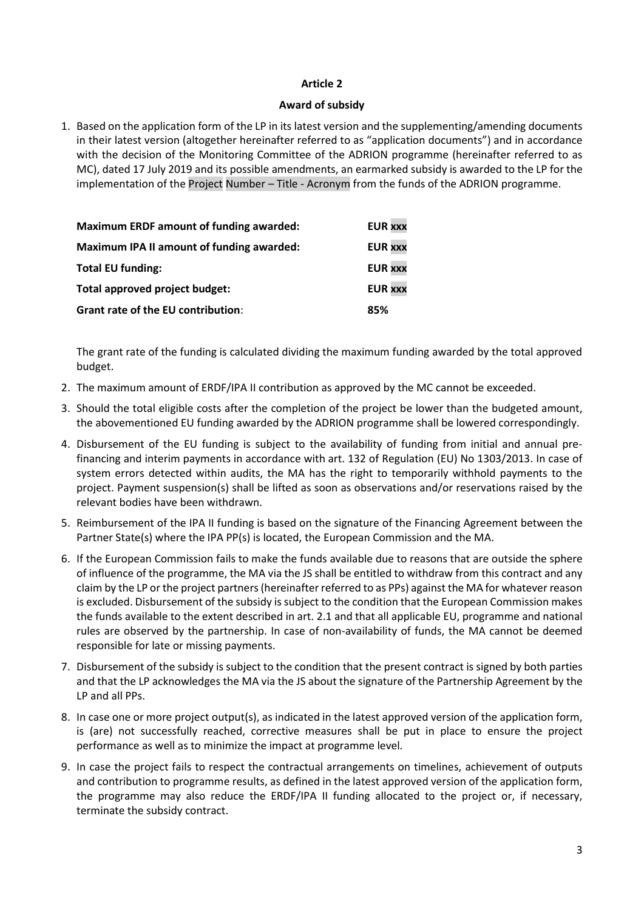## **Award of subsidy**

1. Based on the application form of the LP in its latest version and the supplementing/amending documents in their latest version (altogether hereinafter referred to as "application documents") and in accordance with the decision of the Monitoring Committee of the ADRION programme (hereinafter referred to as MC), dated 17 July 2019 and its possible amendments, an earmarked subsidy is awarded to the LP for the implementation of the Project Number – Title - Acronym from the funds of the ADRION programme.

| <b>Maximum ERDF amount of funding awarded:</b> | <b>EUR XXX</b> |
|------------------------------------------------|----------------|
| Maximum IPA II amount of funding awarded:      | <b>EUR XXX</b> |
| <b>Total EU funding:</b>                       | <b>EUR XXX</b> |
| Total approved project budget:                 | <b>EUR XXX</b> |
| <b>Grant rate of the EU contribution:</b>      | 85%            |

The grant rate of the funding is calculated dividing the maximum funding awarded by the total approved budget.

- 2. The maximum amount of ERDF/IPA II contribution as approved by the MC cannot be exceeded.
- 3. Should the total eligible costs after the completion of the project be lower than the budgeted amount, the abovementioned EU funding awarded by the ADRION programme shall be lowered correspondingly.
- 4. Disbursement of the EU funding is subject to the availability of funding from initial and annual prefinancing and interim payments in accordance with art. 132 of Regulation (EU) No 1303/2013. In case of system errors detected within audits, the MA has the right to temporarily withhold payments to the project. Payment suspension(s) shall be lifted as soon as observations and/or reservations raised by the relevant bodies have been withdrawn.
- 5. Reimbursement of the IPA II funding is based on the signature of the Financing Agreement between the Partner State(s) where the IPA PP(s) is located, the European Commission and the MA.
- 6. If the European Commission fails to make the funds available due to reasons that are outside the sphere of influence of the programme, the MA via the JS shall be entitled to withdraw from this contract and any claim by the LP or the project partners (hereinafter referred to as PPs) against the MA for whatever reason is excluded. Disbursement of the subsidy is subject to the condition that the European Commission makes the funds available to the extent described in art. 2.1 and that all applicable EU, programme and national rules are observed by the partnership. In case of non-availability of funds, the MA cannot be deemed responsible for late or missing payments.
- 7. Disbursement of the subsidy is subject to the condition that the present contract is signed by both parties and that the LP acknowledges the MA via the JS about the signature of the Partnership Agreement by the LP and all PPs.
- 8. In case one or more project output(s), as indicated in the latest approved version of the application form, is (are) not successfully reached, corrective measures shall be put in place to ensure the project performance as well as to minimize the impact at programme level*.*
- 9. In case the project fails to respect the contractual arrangements on timelines, achievement of outputs and contribution to programme results, as defined in the latest approved version of the application form, the programme may also reduce the ERDF/IPA II funding allocated to the project or, if necessary, terminate the subsidy contract.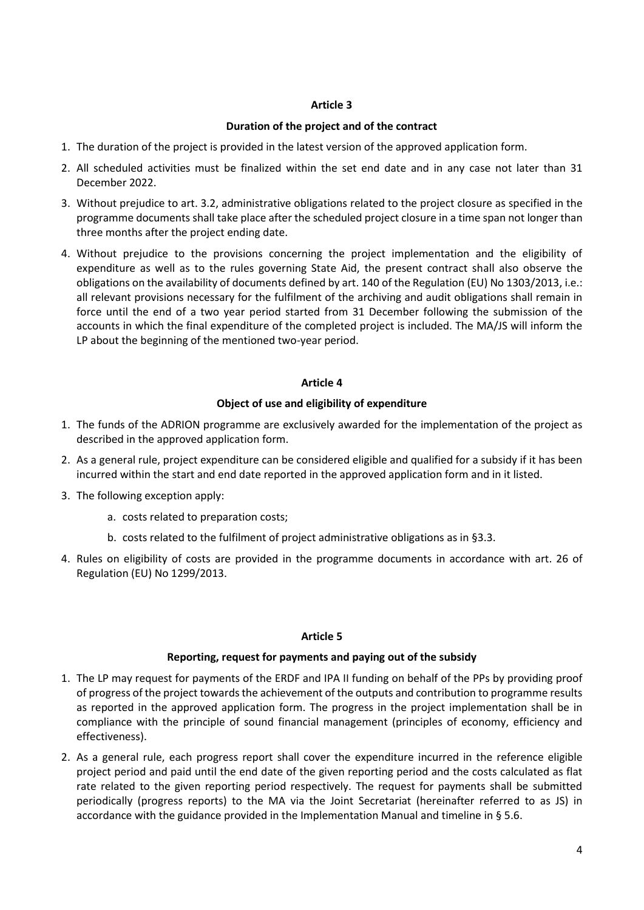## **Duration of the project and of the contract**

- 1. The duration of the project is provided in the latest version of the approved application form.
- 2. All scheduled activities must be finalized within the set end date and in any case not later than 31 December 2022.
- 3. Without prejudice to art. 3.2, administrative obligations related to the project closure as specified in the programme documents shall take place after the scheduled project closure in a time span not longer than three months after the project ending date.
- 4. Without prejudice to the provisions concerning the project implementation and the eligibility of expenditure as well as to the rules governing State Aid, the present contract shall also observe the obligations on the availability of documents defined by art. 140 of the Regulation (EU) No 1303/2013, i.e.: all relevant provisions necessary for the fulfilment of the archiving and audit obligations shall remain in force until the end of a two year period started from 31 December following the submission of the accounts in which the final expenditure of the completed project is included. The MA/JS will inform the LP about the beginning of the mentioned two-year period.

## **Article 4**

## **Object of use and eligibility of expenditure**

- 1. The funds of the ADRION programme are exclusively awarded for the implementation of the project as described in the approved application form.
- 2. As a general rule, project expenditure can be considered eligible and qualified for a subsidy if it has been incurred within the start and end date reported in the approved application form and in it listed.
- 3. The following exception apply:
	- a. costs related to preparation costs;
	- b. costs related to the fulfilment of project administrative obligations as in §3.3.
- 4. Rules on eligibility of costs are provided in the programme documents in accordance with art. 26 of Regulation (EU) No 1299/2013.

### **Article 5**

### **Reporting, request for payments and paying out of the subsidy**

- 1. The LP may request for payments of the ERDF and IPA II funding on behalf of the PPs by providing proof of progress of the project towards the achievement of the outputs and contribution to programme results as reported in the approved application form. The progress in the project implementation shall be in compliance with the principle of sound financial management (principles of economy, efficiency and effectiveness).
- 2. As a general rule, each progress report shall cover the expenditure incurred in the reference eligible project period and paid until the end date of the given reporting period and the costs calculated as flat rate related to the given reporting period respectively. The request for payments shall be submitted periodically (progress reports) to the MA via the Joint Secretariat (hereinafter referred to as JS) in accordance with the guidance provided in the Implementation Manual and timeline in § 5.6.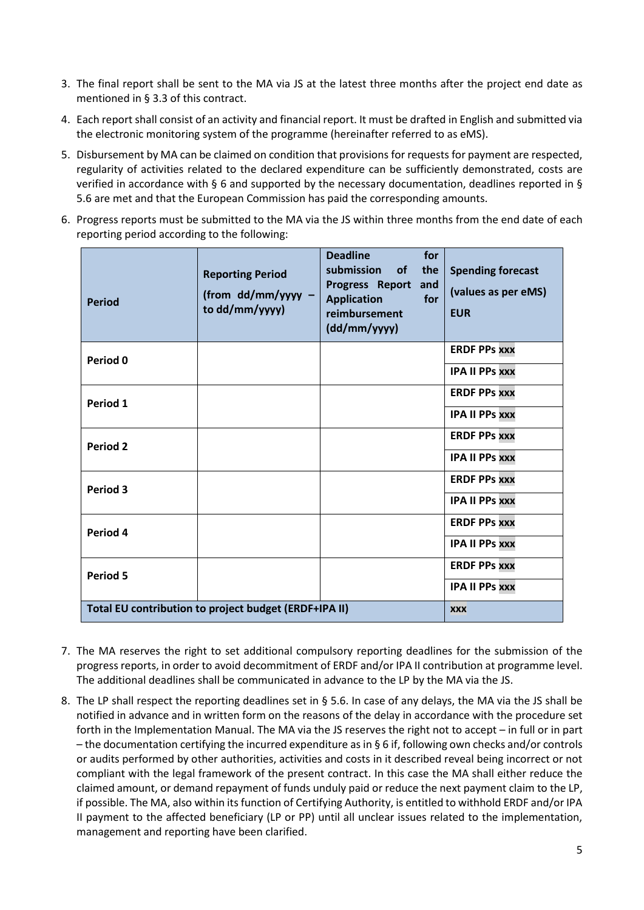- 3. The final report shall be sent to the MA via JS at the latest three months after the project end date as mentioned in § 3.3 of this contract.
- 4. Each report shall consist of an activity and financial report. It must be drafted in English and submitted via the electronic monitoring system of the programme (hereinafter referred to as eMS).
- 5. Disbursement by MA can be claimed on condition that provisions for requests for payment are respected, regularity of activities related to the declared expenditure can be sufficiently demonstrated, costs are verified in accordance with § 6 and supported by the necessary documentation, deadlines reported in § 5.6 are met and that the European Commission has paid the corresponding amounts.
- 6. Progress reports must be submitted to the MA via the JS within three months from the end date of each reporting period according to the following:

| <b>Period</b>   | <b>Reporting Period</b><br>(from dd/mm/yyyy -<br>to dd/mm/yyyy) | <b>Deadline</b><br>for<br>submission<br><b>of</b><br>the<br>Progress Report<br>and<br><b>Application</b><br>for<br>reimbursement<br>(dd/mm/yyyy) | <b>Spending forecast</b><br>(values as per eMS)<br><b>EUR</b> |
|-----------------|-----------------------------------------------------------------|--------------------------------------------------------------------------------------------------------------------------------------------------|---------------------------------------------------------------|
| Period 0        |                                                                 |                                                                                                                                                  | <b>ERDF PPs xxx</b>                                           |
|                 |                                                                 |                                                                                                                                                  | <b>IPA II PPS XXX</b>                                         |
| Period 1        |                                                                 |                                                                                                                                                  | <b>ERDF PPS XXX</b>                                           |
|                 |                                                                 |                                                                                                                                                  | <b>IPA II PPs xxx</b>                                         |
| Period 2        |                                                                 |                                                                                                                                                  | <b>ERDF PPS XXX</b>                                           |
|                 |                                                                 |                                                                                                                                                  | <b>IPA II PPs XXX</b>                                         |
| Period 3        |                                                                 |                                                                                                                                                  | <b>ERDF PPS XXX</b>                                           |
|                 |                                                                 |                                                                                                                                                  | <b>IPA II PPS XXX</b>                                         |
| Period 4        |                                                                 |                                                                                                                                                  | <b>ERDF PPS XXX</b>                                           |
|                 |                                                                 |                                                                                                                                                  | <b>IPA II PPS XXX</b>                                         |
| <b>Period 5</b> |                                                                 |                                                                                                                                                  | <b>ERDF PPs XXX</b>                                           |
|                 |                                                                 |                                                                                                                                                  | <b>IPA II PPS XXX</b>                                         |
|                 | Total EU contribution to project budget (ERDF+IPA II)           |                                                                                                                                                  | <b>XXX</b>                                                    |

- 7. The MA reserves the right to set additional compulsory reporting deadlines for the submission of the progress reports, in order to avoid decommitment of ERDF and/or IPA II contribution at programme level. The additional deadlines shall be communicated in advance to the LP by the MA via the JS.
- 8. The LP shall respect the reporting deadlines set in § 5.6. In case of any delays, the MA via the JS shall be notified in advance and in written form on the reasons of the delay in accordance with the procedure set forth in the Implementation Manual. The MA via the JS reserves the right not to accept – in full or in part – the documentation certifying the incurred expenditure as in § 6 if, following own checks and/or controls or audits performed by other authorities, activities and costs in it described reveal being incorrect or not compliant with the legal framework of the present contract. In this case the MA shall either reduce the claimed amount, or demand repayment of funds unduly paid or reduce the next payment claim to the LP, if possible. The MA, also within its function of Certifying Authority, is entitled to withhold ERDF and/or IPA II payment to the affected beneficiary (LP or PP) until all unclear issues related to the implementation, management and reporting have been clarified.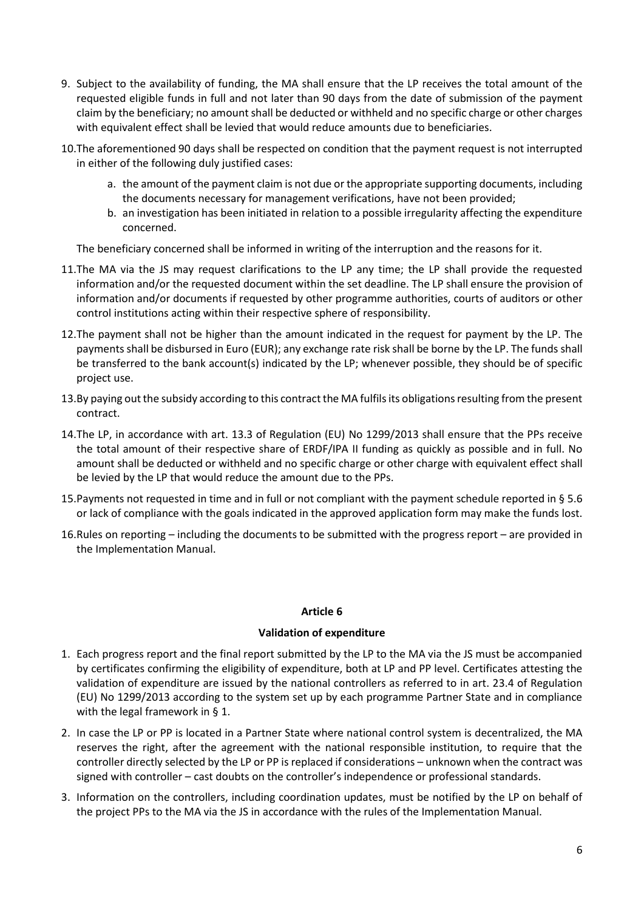- 9. Subject to the availability of funding, the MA shall ensure that the LP receives the total amount of the requested eligible funds in full and not later than 90 days from the date of submission of the payment claim by the beneficiary; no amount shall be deducted or withheld and no specific charge or other charges with equivalent effect shall be levied that would reduce amounts due to beneficiaries.
- 10.The aforementioned 90 days shall be respected on condition that the payment request is not interrupted in either of the following duly justified cases:
	- a. the amount of the payment claim is not due or the appropriate supporting documents, including the documents necessary for management verifications, have not been provided;
	- b. an investigation has been initiated in relation to a possible irregularity affecting the expenditure concerned.

The beneficiary concerned shall be informed in writing of the interruption and the reasons for it.

- 11.The MA via the JS may request clarifications to the LP any time; the LP shall provide the requested information and/or the requested document within the set deadline. The LP shall ensure the provision of information and/or documents if requested by other programme authorities, courts of auditors or other control institutions acting within their respective sphere of responsibility.
- 12.The payment shall not be higher than the amount indicated in the request for payment by the LP. The payments shall be disbursed in Euro (EUR); any exchange rate risk shall be borne by the LP. The funds shall be transferred to the bank account(s) indicated by the LP; whenever possible, they should be of specific project use.
- 13.By paying out the subsidy according to this contract the MA fulfils its obligations resulting from the present contract.
- 14.The LP, in accordance with art. 13.3 of Regulation (EU) No 1299/2013 shall ensure that the PPs receive the total amount of their respective share of ERDF/IPA II funding as quickly as possible and in full. No amount shall be deducted or withheld and no specific charge or other charge with equivalent effect shall be levied by the LP that would reduce the amount due to the PPs.
- 15.Payments not requested in time and in full or not compliant with the payment schedule reported in § 5.6 or lack of compliance with the goals indicated in the approved application form may make the funds lost.
- 16.Rules on reporting including the documents to be submitted with the progress report are provided in the Implementation Manual.

### **Article 6**

### **Validation of expenditure**

- 1. Each progress report and the final report submitted by the LP to the MA via the JS must be accompanied by certificates confirming the eligibility of expenditure, both at LP and PP level. Certificates attesting the validation of expenditure are issued by the national controllers as referred to in art. 23.4 of Regulation (EU) No 1299/2013 according to the system set up by each programme Partner State and in compliance with the legal framework in § 1.
- 2. In case the LP or PP is located in a Partner State where national control system is decentralized, the MA reserves the right, after the agreement with the national responsible institution, to require that the controller directly selected by the LP or PP is replaced if considerations – unknown when the contract was signed with controller – cast doubts on the controller's independence or professional standards.
- 3. Information on the controllers, including coordination updates, must be notified by the LP on behalf of the project PPs to the MA via the JS in accordance with the rules of the Implementation Manual.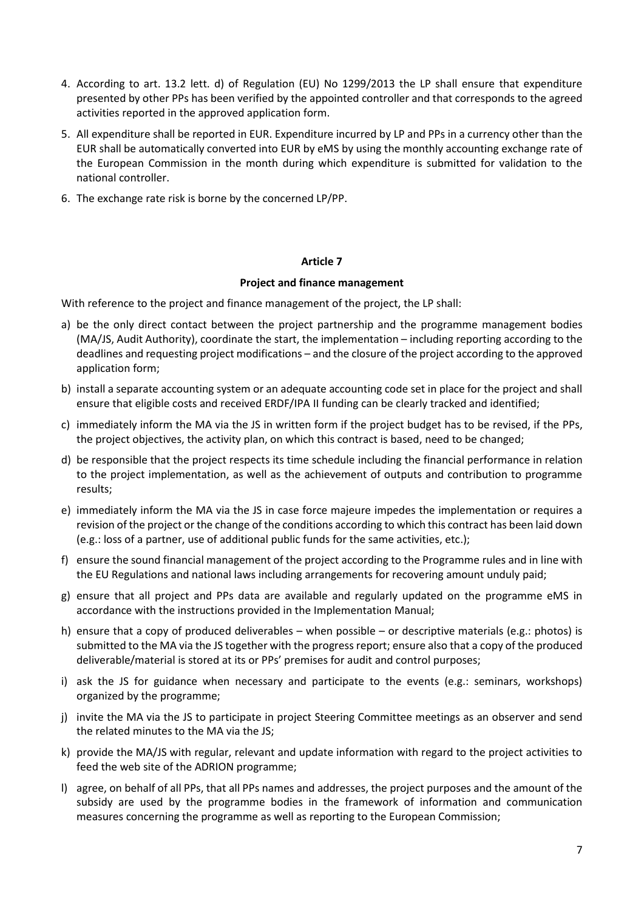- 4. According to art. 13.2 lett. d) of Regulation (EU) No 1299/2013 the LP shall ensure that expenditure presented by other PPs has been verified by the appointed controller and that corresponds to the agreed activities reported in the approved application form.
- 5. All expenditure shall be reported in EUR. Expenditure incurred by LP and PPs in a currency other than the EUR shall be automatically converted into EUR by eMS by using the monthly accounting exchange rate of the European Commission in the month during which expenditure is submitted for validation to the national controller.
- 6. The exchange rate risk is borne by the concerned LP/PP.

### **Project and finance management**

With reference to the project and finance management of the project, the LP shall:

- a) be the only direct contact between the project partnership and the programme management bodies (MA/JS, Audit Authority), coordinate the start, the implementation – including reporting according to the deadlines and requesting project modifications – and the closure of the project according to the approved application form;
- b) install a separate accounting system or an adequate accounting code set in place for the project and shall ensure that eligible costs and received ERDF/IPA II funding can be clearly tracked and identified;
- c) immediately inform the MA via the JS in written form if the project budget has to be revised, if the PPs, the project objectives, the activity plan, on which this contract is based, need to be changed;
- d) be responsible that the project respects its time schedule including the financial performance in relation to the project implementation, as well as the achievement of outputs and contribution to programme results;
- e) immediately inform the MA via the JS in case force majeure impedes the implementation or requires a revision of the project or the change of the conditions according to which this contract has been laid down (e.g.: loss of a partner, use of additional public funds for the same activities, etc.);
- f) ensure the sound financial management of the project according to the Programme rules and in line with the EU Regulations and national laws including arrangements for recovering amount unduly paid;
- g) ensure that all project and PPs data are available and regularly updated on the programme eMS in accordance with the instructions provided in the Implementation Manual;
- h) ensure that a copy of produced deliverables when possible or descriptive materials (e.g.: photos) is submitted to the MA via the JS together with the progress report; ensure also that a copy of the produced deliverable/material is stored at its or PPs' premises for audit and control purposes;
- i) ask the JS for guidance when necessary and participate to the events (e.g.: seminars, workshops) organized by the programme;
- j) invite the MA via the JS to participate in project Steering Committee meetings as an observer and send the related minutes to the MA via the JS;
- k) provide the MA/JS with regular, relevant and update information with regard to the project activities to feed the web site of the ADRION programme;
- l) agree, on behalf of all PPs, that all PPs names and addresses, the project purposes and the amount of the subsidy are used by the programme bodies in the framework of information and communication measures concerning the programme as well as reporting to the European Commission;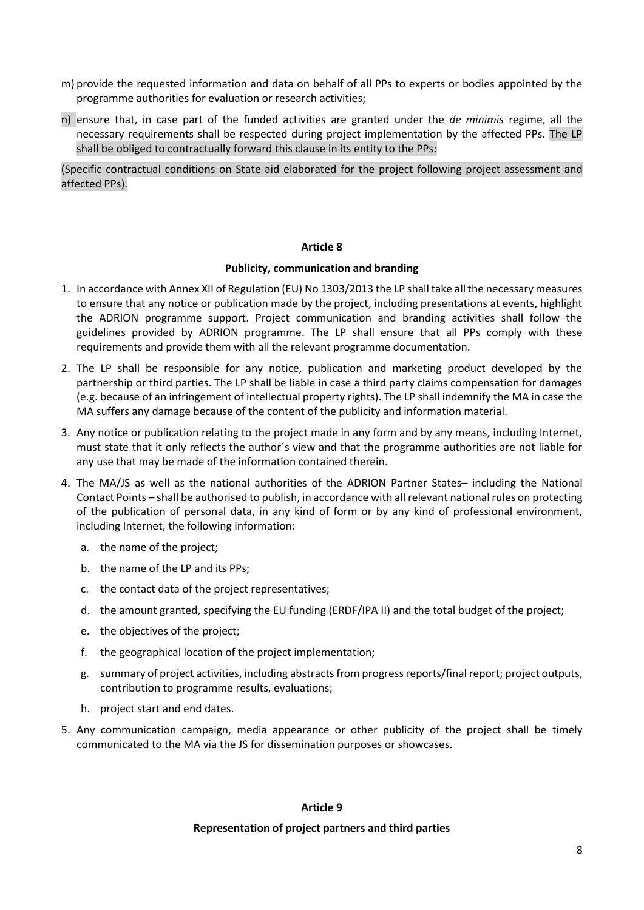- m) provide the requested information and data on behalf of all PPs to experts or bodies appointed by the programme authorities for evaluation or research activities;
- n) ensure that, in case part of the funded activities are granted under the *de minimis* regime, all the necessary requirements shall be respected during project implementation by the affected PPs. The LP shall be obliged to contractually forward this clause in its entity to the PPs:

(Specific contractual conditions on State aid elaborated for the project following project assessment and affected PPs).

#### **Article 8**

#### **Publicity, communication and branding**

- 1. In accordance with Annex XII of Regulation (EU) No 1303/2013 the LP shall take all the necessary measures to ensure that any notice or publication made by the project, including presentations at events, highlight the ADRION programme support. Project communication and branding activities shall follow the guidelines provided by ADRION programme. The LP shall ensure that all PPs comply with these requirements and provide them with all the relevant programme documentation.
- 2. The LP shall be responsible for any notice, publication and marketing product developed by the partnership or third parties. The LP shall be liable in case a third party claims compensation for damages (e.g. because of an infringement of intellectual property rights). The LP shall indemnify the MA in case the MA suffers any damage because of the content of the publicity and information material.
- 3. Any notice or publication relating to the project made in any form and by any means, including Internet, must state that it only reflects the author´s view and that the programme authorities are not liable for any use that may be made of the information contained therein.
- 4. The MA/JS as well as the national authorities of the ADRION Partner States– including the National Contact Points – shall be authorised to publish, in accordance with all relevant national rules on protecting of the publication of personal data, in any kind of form or by any kind of professional environment, including Internet, the following information:
	- a. the name of the project;
	- b. the name of the LP and its PPs;
	- c. the contact data of the project representatives;
	- d. the amount granted, specifying the EU funding (ERDF/IPA II) and the total budget of the project;
	- e. the objectives of the project;
	- f. the geographical location of the project implementation;
	- g. summary of project activities, including abstracts from progress reports/final report; project outputs, contribution to programme results, evaluations;
	- h. project start and end dates.
- 5. Any communication campaign, media appearance or other publicity of the project shall be timely communicated to the MA via the JS for dissemination purposes or showcases.

### **Article 9**

#### **Representation of project partners and third parties**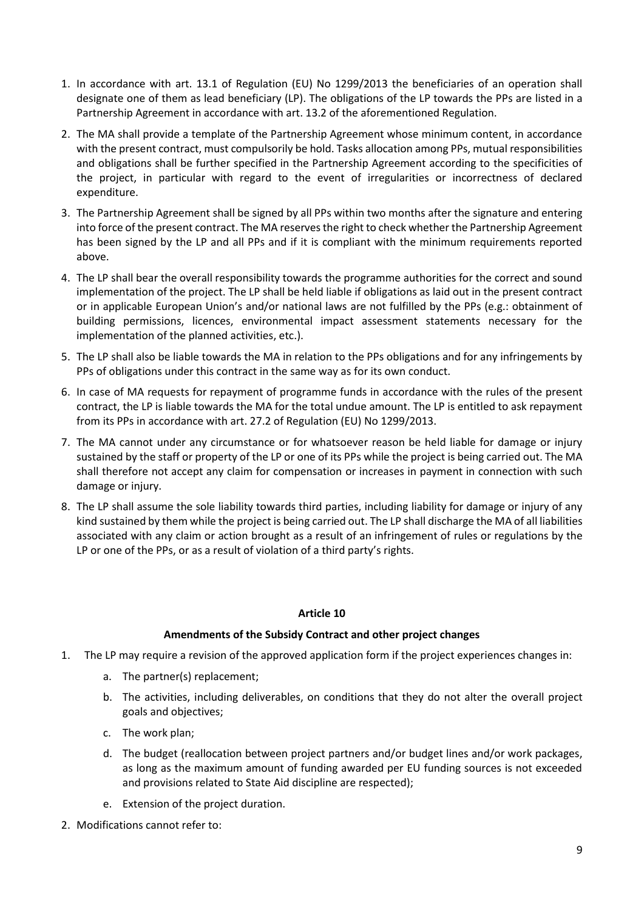- 1. In accordance with art. 13.1 of Regulation (EU) No 1299/2013 the beneficiaries of an operation shall designate one of them as lead beneficiary (LP). The obligations of the LP towards the PPs are listed in a Partnership Agreement in accordance with art. 13.2 of the aforementioned Regulation.
- 2. The MA shall provide a template of the Partnership Agreement whose minimum content, in accordance with the present contract, must compulsorily be hold. Tasks allocation among PPs, mutual responsibilities and obligations shall be further specified in the Partnership Agreement according to the specificities of the project, in particular with regard to the event of irregularities or incorrectness of declared expenditure.
- 3. The Partnership Agreement shall be signed by all PPs within two months after the signature and entering into force of the present contract. The MA reserves the right to check whether the Partnership Agreement has been signed by the LP and all PPs and if it is compliant with the minimum requirements reported above.
- 4. The LP shall bear the overall responsibility towards the programme authorities for the correct and sound implementation of the project. The LP shall be held liable if obligations as laid out in the present contract or in applicable European Union's and/or national laws are not fulfilled by the PPs (e.g.: obtainment of building permissions, licences, environmental impact assessment statements necessary for the implementation of the planned activities, etc.).
- 5. The LP shall also be liable towards the MA in relation to the PPs obligations and for any infringements by PPs of obligations under this contract in the same way as for its own conduct.
- 6. In case of MA requests for repayment of programme funds in accordance with the rules of the present contract, the LP is liable towards the MA for the total undue amount. The LP is entitled to ask repayment from its PPs in accordance with art. 27.2 of Regulation (EU) No 1299/2013.
- 7. The MA cannot under any circumstance or for whatsoever reason be held liable for damage or injury sustained by the staff or property of the LP or one of its PPs while the project is being carried out. The MA shall therefore not accept any claim for compensation or increases in payment in connection with such damage or injury.
- 8. The LP shall assume the sole liability towards third parties, including liability for damage or injury of any kind sustained by them while the project is being carried out. The LP shall discharge the MA of all liabilities associated with any claim or action brought as a result of an infringement of rules or regulations by the LP or one of the PPs, or as a result of violation of a third party's rights.

# **Amendments of the Subsidy Contract and other project changes**

- 1. The LP may require a revision of the approved application form if the project experiences changes in:
	- a. The partner(s) replacement;
	- b. The activities, including deliverables, on conditions that they do not alter the overall project goals and objectives;
	- c. The work plan;
	- d. The budget (reallocation between project partners and/or budget lines and/or work packages, as long as the maximum amount of funding awarded per EU funding sources is not exceeded and provisions related to State Aid discipline are respected);
	- e. Extension of the project duration.
- 2. Modifications cannot refer to: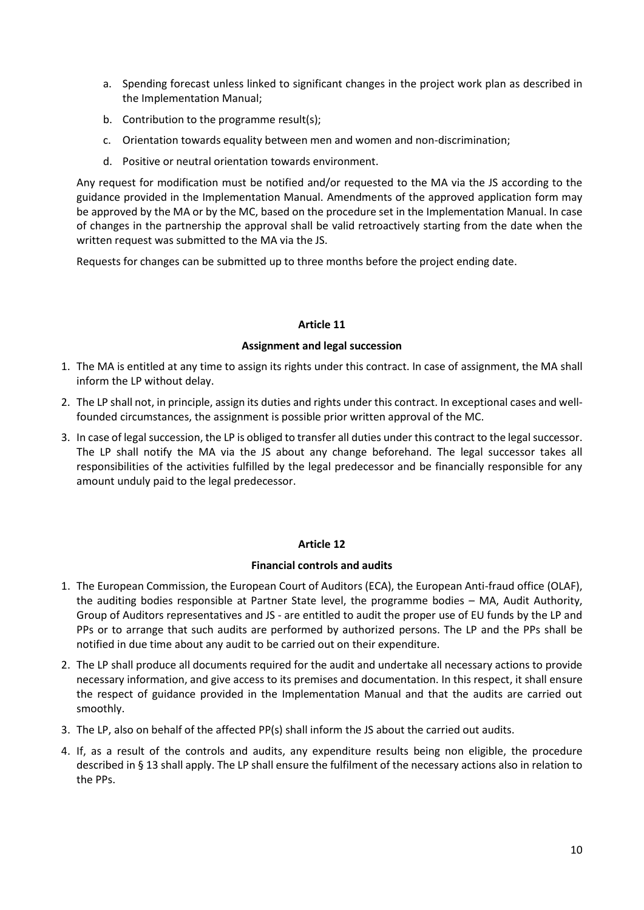- a. Spending forecast unless linked to significant changes in the project work plan as described in the Implementation Manual;
- b. Contribution to the programme result(s);
- c. Orientation towards equality between men and women and non-discrimination;
- d. Positive or neutral orientation towards environment.

Any request for modification must be notified and/or requested to the MA via the JS according to the guidance provided in the Implementation Manual. Amendments of the approved application form may be approved by the MA or by the MC, based on the procedure set in the Implementation Manual. In case of changes in the partnership the approval shall be valid retroactively starting from the date when the written request was submitted to the MA via the JS.

Requests for changes can be submitted up to three months before the project ending date.

## **Article 11**

## **Assignment and legal succession**

- 1. The MA is entitled at any time to assign its rights under this contract. In case of assignment, the MA shall inform the LP without delay.
- 2. The LP shall not, in principle, assign its duties and rights under this contract. In exceptional cases and wellfounded circumstances, the assignment is possible prior written approval of the MC.
- 3. In case of legal succession, the LP is obliged to transfer all duties under this contract to the legal successor. The LP shall notify the MA via the JS about any change beforehand. The legal successor takes all responsibilities of the activities fulfilled by the legal predecessor and be financially responsible for any amount unduly paid to the legal predecessor.

### **Article 12**

### **Financial controls and audits**

- 1. The European Commission, the European Court of Auditors (ECA), the European Anti-fraud office (OLAF), the auditing bodies responsible at Partner State level, the programme bodies – MA, Audit Authority, Group of Auditors representatives and JS - are entitled to audit the proper use of EU funds by the LP and PPs or to arrange that such audits are performed by authorized persons. The LP and the PPs shall be notified in due time about any audit to be carried out on their expenditure.
- 2. The LP shall produce all documents required for the audit and undertake all necessary actions to provide necessary information, and give access to its premises and documentation. In this respect, it shall ensure the respect of guidance provided in the Implementation Manual and that the audits are carried out smoothly.
- 3. The LP, also on behalf of the affected PP(s) shall inform the JS about the carried out audits.
- 4. If, as a result of the controls and audits, any expenditure results being non eligible, the procedure described in § 13 shall apply. The LP shall ensure the fulfilment of the necessary actions also in relation to the PPs.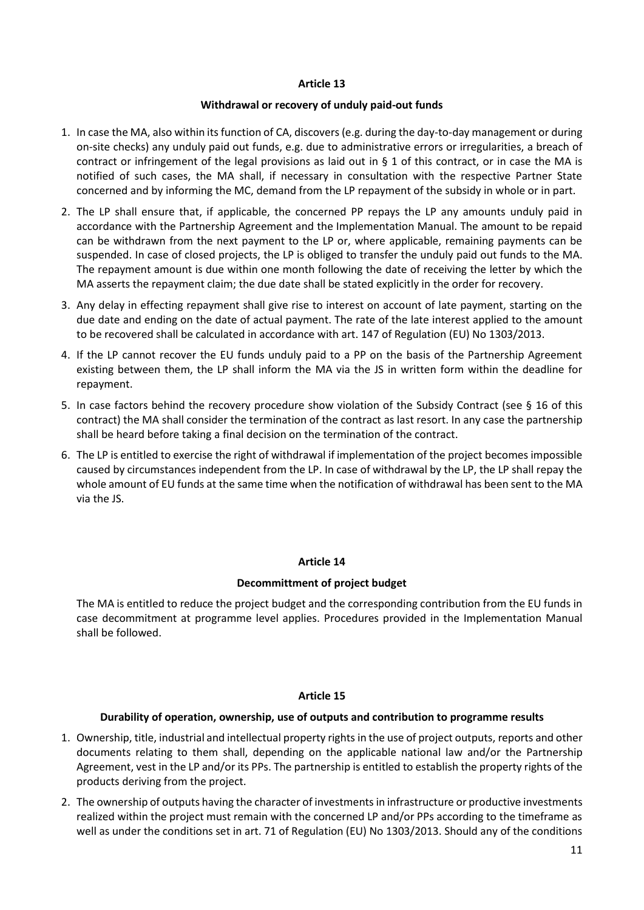#### **Withdrawal or recovery of unduly paid-out funds**

- 1. In case the MA, also within its function of CA, discovers (e.g. during the day-to-day management or during on-site checks) any unduly paid out funds, e.g. due to administrative errors or irregularities, a breach of contract or infringement of the legal provisions as laid out in § 1 of this contract, or in case the MA is notified of such cases, the MA shall, if necessary in consultation with the respective Partner State concerned and by informing the MC, demand from the LP repayment of the subsidy in whole or in part.
- 2. The LP shall ensure that, if applicable, the concerned PP repays the LP any amounts unduly paid in accordance with the Partnership Agreement and the Implementation Manual. The amount to be repaid can be withdrawn from the next payment to the LP or, where applicable, remaining payments can be suspended. In case of closed projects, the LP is obliged to transfer the unduly paid out funds to the MA. The repayment amount is due within one month following the date of receiving the letter by which the MA asserts the repayment claim; the due date shall be stated explicitly in the order for recovery.
- 3. Any delay in effecting repayment shall give rise to interest on account of late payment, starting on the due date and ending on the date of actual payment. The rate of the late interest applied to the amount to be recovered shall be calculated in accordance with art. 147 of Regulation (EU) No 1303/2013.
- 4. If the LP cannot recover the EU funds unduly paid to a PP on the basis of the Partnership Agreement existing between them, the LP shall inform the MA via the JS in written form within the deadline for repayment.
- 5. In case factors behind the recovery procedure show violation of the Subsidy Contract (see § 16 of this contract) the MA shall consider the termination of the contract as last resort. In any case the partnership shall be heard before taking a final decision on the termination of the contract.
- 6. The LP is entitled to exercise the right of withdrawal if implementation of the project becomes impossible caused by circumstances independent from the LP. In case of withdrawal by the LP, the LP shall repay the whole amount of EU funds at the same time when the notification of withdrawal has been sent to the MA via the JS.

### **Article 14**

### **Decommittment of project budget**

The MA is entitled to reduce the project budget and the corresponding contribution from the EU funds in case decommitment at programme level applies. Procedures provided in the Implementation Manual shall be followed.

# **Article 15**

# **Durability of operation, ownership, use of outputs and contribution to programme results**

- 1. Ownership, title, industrial and intellectual property rights in the use of project outputs, reports and other documents relating to them shall, depending on the applicable national law and/or the Partnership Agreement, vest in the LP and/or its PPs. The partnership is entitled to establish the property rights of the products deriving from the project.
- 2. The ownership of outputs having the character of investments in infrastructure or productive investments realized within the project must remain with the concerned LP and/or PPs according to the timeframe as well as under the conditions set in art. 71 of Regulation (EU) No 1303/2013. Should any of the conditions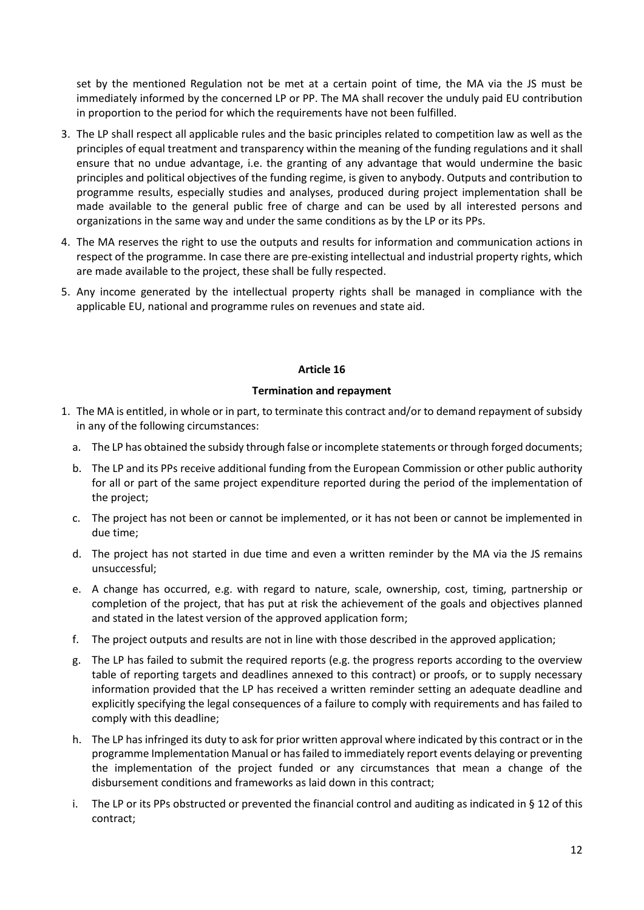set by the mentioned Regulation not be met at a certain point of time, the MA via the JS must be immediately informed by the concerned LP or PP. The MA shall recover the unduly paid EU contribution in proportion to the period for which the requirements have not been fulfilled.

- 3. The LP shall respect all applicable rules and the basic principles related to competition law as well as the principles of equal treatment and transparency within the meaning of the funding regulations and it shall ensure that no undue advantage, i.e. the granting of any advantage that would undermine the basic principles and political objectives of the funding regime, is given to anybody. Outputs and contribution to programme results, especially studies and analyses, produced during project implementation shall be made available to the general public free of charge and can be used by all interested persons and organizations in the same way and under the same conditions as by the LP or its PPs.
- 4. The MA reserves the right to use the outputs and results for information and communication actions in respect of the programme. In case there are pre-existing intellectual and industrial property rights, which are made available to the project, these shall be fully respected.
- 5. Any income generated by the intellectual property rights shall be managed in compliance with the applicable EU, national and programme rules on revenues and state aid.

## **Article 16**

### **Termination and repayment**

- 1. The MA is entitled, in whole or in part, to terminate this contract and/or to demand repayment of subsidy in any of the following circumstances:
	- a. The LP has obtained the subsidy through false or incomplete statements or through forged documents;
	- b. The LP and its PPs receive additional funding from the European Commission or other public authority for all or part of the same project expenditure reported during the period of the implementation of the project;
	- c. The project has not been or cannot be implemented, or it has not been or cannot be implemented in due time;
	- d. The project has not started in due time and even a written reminder by the MA via the JS remains unsuccessful;
	- e. A change has occurred, e.g. with regard to nature, scale, ownership, cost, timing, partnership or completion of the project, that has put at risk the achievement of the goals and objectives planned and stated in the latest version of the approved application form;
	- f. The project outputs and results are not in line with those described in the approved application;
	- g. The LP has failed to submit the required reports (e.g. the progress reports according to the overview table of reporting targets and deadlines annexed to this contract) or proofs, or to supply necessary information provided that the LP has received a written reminder setting an adequate deadline and explicitly specifying the legal consequences of a failure to comply with requirements and has failed to comply with this deadline;
	- h. The LP has infringed its duty to ask for prior written approval where indicated by this contract or in the programme Implementation Manual or has failed to immediately report events delaying or preventing the implementation of the project funded or any circumstances that mean a change of the disbursement conditions and frameworks as laid down in this contract;
	- i. The LP or its PPs obstructed or prevented the financial control and auditing as indicated in § 12 of this contract;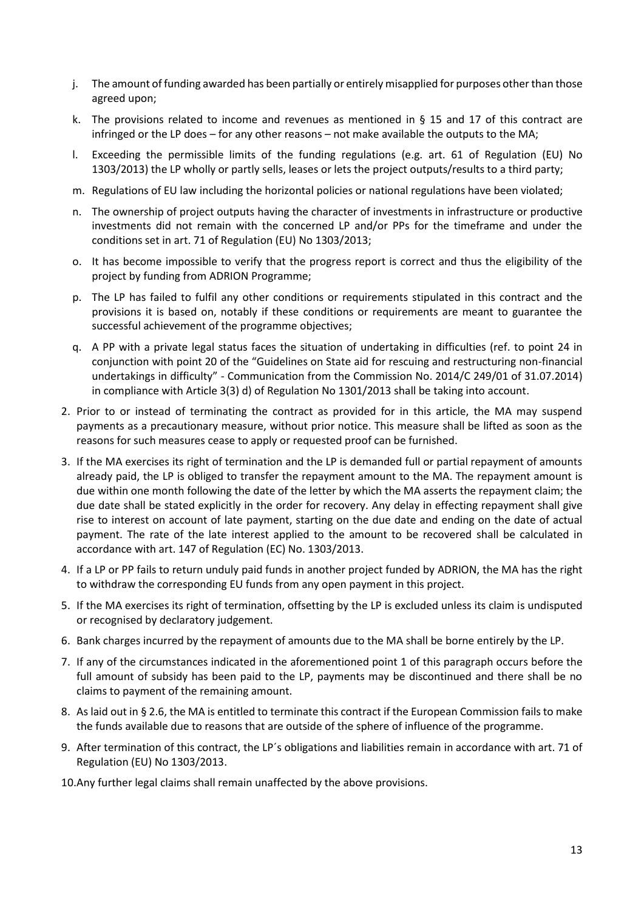- j. The amount of funding awarded has been partially or entirely misapplied for purposes other than those agreed upon;
- k. The provisions related to income and revenues as mentioned in § 15 and 17 of this contract are infringed or the LP does – for any other reasons – not make available the outputs to the MA;
- l. Exceeding the permissible limits of the funding regulations (e.g. art. 61 of Regulation (EU) No 1303/2013) the LP wholly or partly sells, leases or lets the project outputs/results to a third party;
- m. Regulations of EU law including the horizontal policies or national regulations have been violated;
- n. The ownership of project outputs having the character of investments in infrastructure or productive investments did not remain with the concerned LP and/or PPs for the timeframe and under the conditions set in art. 71 of Regulation (EU) No 1303/2013;
- o. It has become impossible to verify that the progress report is correct and thus the eligibility of the project by funding from ADRION Programme;
- p. The LP has failed to fulfil any other conditions or requirements stipulated in this contract and the provisions it is based on, notably if these conditions or requirements are meant to guarantee the successful achievement of the programme objectives;
- q. A PP with a private legal status faces the situation of undertaking in difficulties (ref. to point 24 in conjunction with point 20 of the "Guidelines on State aid for rescuing and restructuring non-financial undertakings in difficulty" - Communication from the Commission No. 2014/C 249/01 of 31.07.2014) in compliance with Article 3(3) d) of Regulation No 1301/2013 shall be taking into account.
- 2. Prior to or instead of terminating the contract as provided for in this article, the MA may suspend payments as a precautionary measure, without prior notice. This measure shall be lifted as soon as the reasons for such measures cease to apply or requested proof can be furnished.
- 3. If the MA exercises its right of termination and the LP is demanded full or partial repayment of amounts already paid, the LP is obliged to transfer the repayment amount to the MA. The repayment amount is due within one month following the date of the letter by which the MA asserts the repayment claim; the due date shall be stated explicitly in the order for recovery. Any delay in effecting repayment shall give rise to interest on account of late payment, starting on the due date and ending on the date of actual payment. The rate of the late interest applied to the amount to be recovered shall be calculated in accordance with art. 147 of Regulation (EC) No. 1303/2013.
- 4. If a LP or PP fails to return unduly paid funds in another project funded by ADRION, the MA has the right to withdraw the corresponding EU funds from any open payment in this project.
- 5. If the MA exercises its right of termination, offsetting by the LP is excluded unless its claim is undisputed or recognised by declaratory judgement.
- 6. Bank charges incurred by the repayment of amounts due to the MA shall be borne entirely by the LP.
- 7. If any of the circumstances indicated in the aforementioned point 1 of this paragraph occurs before the full amount of subsidy has been paid to the LP, payments may be discontinued and there shall be no claims to payment of the remaining amount.
- 8. As laid out in § 2.6, the MA is entitled to terminate this contract if the European Commission fails to make the funds available due to reasons that are outside of the sphere of influence of the programme.
- 9. After termination of this contract, the LP´s obligations and liabilities remain in accordance with art. 71 of Regulation (EU) No 1303/2013.
- 10.Any further legal claims shall remain unaffected by the above provisions.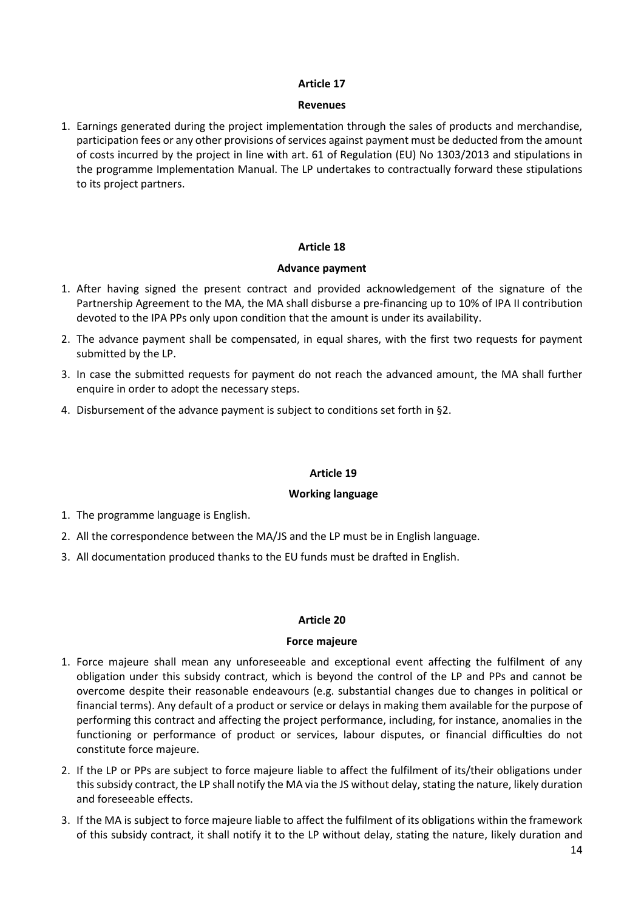## **Revenues**

1. Earnings generated during the project implementation through the sales of products and merchandise, participation fees or any other provisions of services against payment must be deducted from the amount of costs incurred by the project in line with art. 61 of Regulation (EU) No 1303/2013 and stipulations in the programme Implementation Manual. The LP undertakes to contractually forward these stipulations to its project partners.

## **Article 18**

## **Advance payment**

- 1. After having signed the present contract and provided acknowledgement of the signature of the Partnership Agreement to the MA, the MA shall disburse a pre-financing up to 10% of IPA II contribution devoted to the IPA PPs only upon condition that the amount is under its availability.
- 2. The advance payment shall be compensated, in equal shares, with the first two requests for payment submitted by the LP.
- 3. In case the submitted requests for payment do not reach the advanced amount, the MA shall further enquire in order to adopt the necessary steps.
- 4. Disbursement of the advance payment is subject to conditions set forth in §2.

### **Article 19**

### **Working language**

- 1. The programme language is English.
- 2. All the correspondence between the MA/JS and the LP must be in English language.
- 3. All documentation produced thanks to the EU funds must be drafted in English.

### **Article 20**

### **Force majeure**

- 1. Force majeure shall mean any unforeseeable and exceptional event affecting the fulfilment of any obligation under this subsidy contract, which is beyond the control of the LP and PPs and cannot be overcome despite their reasonable endeavours (e.g. substantial changes due to changes in political or financial terms). Any default of a product or service or delays in making them available for the purpose of performing this contract and affecting the project performance, including, for instance, anomalies in the functioning or performance of product or services, labour disputes, or financial difficulties do not constitute force majeure.
- 2. If the LP or PPs are subject to force majeure liable to affect the fulfilment of its/their obligations under this subsidy contract, the LP shall notify the MA via the JS without delay, stating the nature, likely duration and foreseeable effects.
- 3. If the MA is subject to force majeure liable to affect the fulfilment of its obligations within the framework of this subsidy contract, it shall notify it to the LP without delay, stating the nature, likely duration and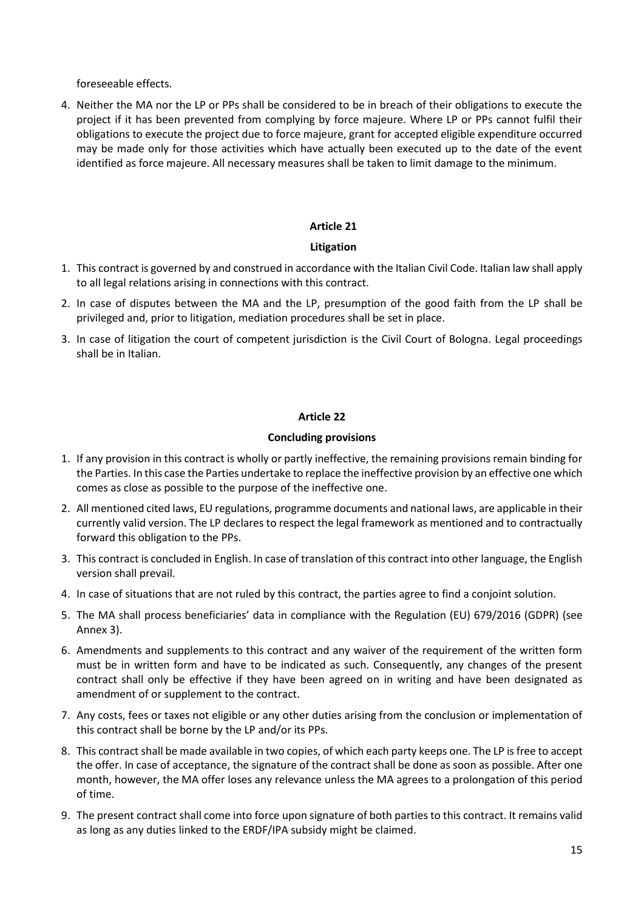foreseeable effects.

4. Neither the MA nor the LP or PPs shall be considered to be in breach of their obligations to execute the project if it has been prevented from complying by force majeure. Where LP or PPs cannot fulfil their obligations to execute the project due to force majeure, grant for accepted eligible expenditure occurred may be made only for those activities which have actually been executed up to the date of the event identified as force majeure. All necessary measures shall be taken to limit damage to the minimum.

### **Article 21**

#### **Litigation**

- 1. This contract is governed by and construed in accordance with the Italian Civil Code. Italian law shall apply to all legal relations arising in connections with this contract.
- 2. In case of disputes between the MA and the LP, presumption of the good faith from the LP shall be privileged and, prior to litigation, mediation procedures shall be set in place.
- 3. In case of litigation the court of competent jurisdiction is the Civil Court of Bologna. Legal proceedings shall be in Italian.

#### **Article 22**

#### **Concluding provisions**

- 1. If any provision in this contract is wholly or partly ineffective, the remaining provisions remain binding for the Parties. In this case the Parties undertake to replace the ineffective provision by an effective one which comes as close as possible to the purpose of the ineffective one.
- 2. All mentioned cited laws, EU regulations, programme documents and national laws, are applicable in their currently valid version. The LP declares to respect the legal framework as mentioned and to contractually forward this obligation to the PPs.
- 3. This contract is concluded in English. In case of translation of this contract into other language, the English version shall prevail.
- 4. In case of situations that are not ruled by this contract, the parties agree to find a conjoint solution.
- 5. The MA shall process beneficiaries' data in compliance with the Regulation (EU) 679/2016 (GDPR) (see Annex 3).
- 6. Amendments and supplements to this contract and any waiver of the requirement of the written form must be in written form and have to be indicated as such. Consequently, any changes of the present contract shall only be effective if they have been agreed on in writing and have been designated as amendment of or supplement to the contract.
- 7. Any costs, fees or taxes not eligible or any other duties arising from the conclusion or implementation of this contract shall be borne by the LP and/or its PPs.
- 8. This contract shall be made available in two copies, of which each party keeps one. The LP is free to accept the offer. In case of acceptance, the signature of the contract shall be done as soon as possible. After one month, however, the MA offer loses any relevance unless the MA agrees to a prolongation of this period of time.
- 9. The present contract shall come into force upon signature of both parties to this contract. It remains valid as long as any duties linked to the ERDF/IPA subsidy might be claimed.